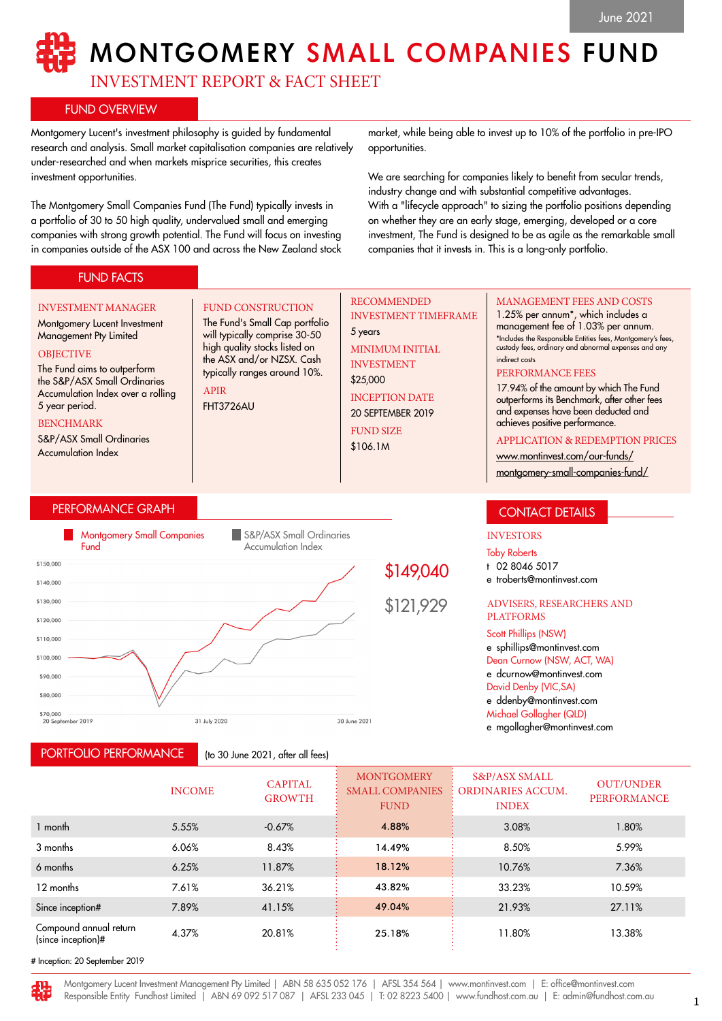# MONTGOMERY SMALL COMPANIES FUND

RECOMMENDED

MINIMUM INITIAL INVESTMENT \$25,000

INCEPTION DATE 20 SEPTEMBER 2019 FUND SIZE \$106.1M

5 years

INVESTMENT TIMEFRAME

INVESTMENT REPORT & FACT SHEET

FUND CONSTRUCTION The Fund's Small Cap portfolio will typically comprise 30-50 high quality stocks listed on the ASX and/or NZSX. Cash typically ranges around 10%.

# FUND OVERVIEW

Montgomery Lucent's investment philosophy is guided by fundamental research and analysis. Small market capitalisation companies are relatively under-researched and when markets misprice securities, this creates investment opportunities.

The Montgomery Small Companies Fund (The Fund) typically invests in a portfolio of 30 to 50 high quality, undervalued small and emerging companies with strong growth potential. The Fund will focus on investing in companies outside of the ASX 100 and across the New Zealand stock

market, while being able to invest up to 10% of the portfolio in pre-IPO opportunities.

We are searching for companies likely to benefit from secular trends, industry change and with substantial competitive advantages. With a "lifecycle approach" to sizing the portfolio positions depending on whether they are an early stage, emerging, developed or a core investment, The Fund is designed to be as agile as the remarkable small companies that it invests in. This is a long-only portfolio.

indirect costs

PERFORMANCE FEES

MANAGEMENT FEES AND COSTS 1.25% per annum\*, which includes a management fee of 1.03% per annum. \*Includes the Responsible Entities fees, Montgomery's fees, custody fees, ordinary and abnormal expenses and any

17.94% of the amount by which The Fund outperforms its Benchmark, after other fees and expenses have been deducted and achieves positive performance.

APPLICATION & REDEMPTION PRICES

[www.montinvest.com/our-funds/](http://www.montinvest.com/our-funds/montgomery-small-companies-fund/) [montgomery-small-companies-fund/](http://www.montinvest.com/our-funds/montgomery-small-companies-fund/)

# FUND FACTS

### INVESTMENT MANAGER

## Montgomery Lucent Investment Management Pty Limited

#### **OBJECTIVE**

The Fund aims to outperform the S&P/ASX Small Ordinaries Accumulation Index over a rolling 5 year period.

#### BENCHMARK

S&P/ASX Small Ordinaries Accumulation Index

## PERFORMANCE GRAPH

PORTFOLIO PERFORMANCE



APIR FHT3726AU

(to 30 June 2021, after all fees)

\$149,040

\$121,929

#### ADVISERS, RESEARCHERS AND PLATFORMS

e troberts@montinvest.com

CONTACT DETAILS

INVESTORS Toby Roberts t 02 8046 5017

Scott Phillips (NSW) e sphillips@montinvest.com Dean Curnow (NSW, ACT, WA) e dcurnow@montinvest.com David Denby (VIC,SA) e ddenby@montinvest.com Michael Gollagher (QLD)

e mgollagher@montinvest.com

|                                              | <b>INCOME</b> | <b>CAPITAL</b><br><b>GROWTH</b> | <b>MONTGOMERY</b><br><b>SMALL COMPANIES</b><br><b>FUND</b> | <b>S&amp;P/ASX SMALL</b><br><b>ORDINARIES ACCUM.</b><br><b>INDEX</b> | <b>OUT/UNDER</b><br><b>PERFORMANCE</b> |
|----------------------------------------------|---------------|---------------------------------|------------------------------------------------------------|----------------------------------------------------------------------|----------------------------------------|
| 1 month                                      | 5.55%         | $-0.67%$                        | 4.88%                                                      | 3.08%                                                                | 1.80%                                  |
| 3 months                                     | 6.06%         | 8.43%                           | 14.49%                                                     | 8.50%                                                                | 5.99%                                  |
| 6 months                                     | 6.25%         | 11.87%                          | 18.12%                                                     | 10.76%                                                               | 7.36%                                  |
| 12 months                                    | 7.61%         | 36.21%                          | 43.82%                                                     | 33.23%                                                               | 10.59%                                 |
| Since inception#                             | 7.89%         | 41.15%                          | 49.04%                                                     | 21.93%                                                               | 27.11%                                 |
| Compound annual return<br>(since inception)# | 4.37%         | 20.81%                          | 25.18%                                                     | 11.80%                                                               | 13.38%                                 |

# Inception: 20 September 2019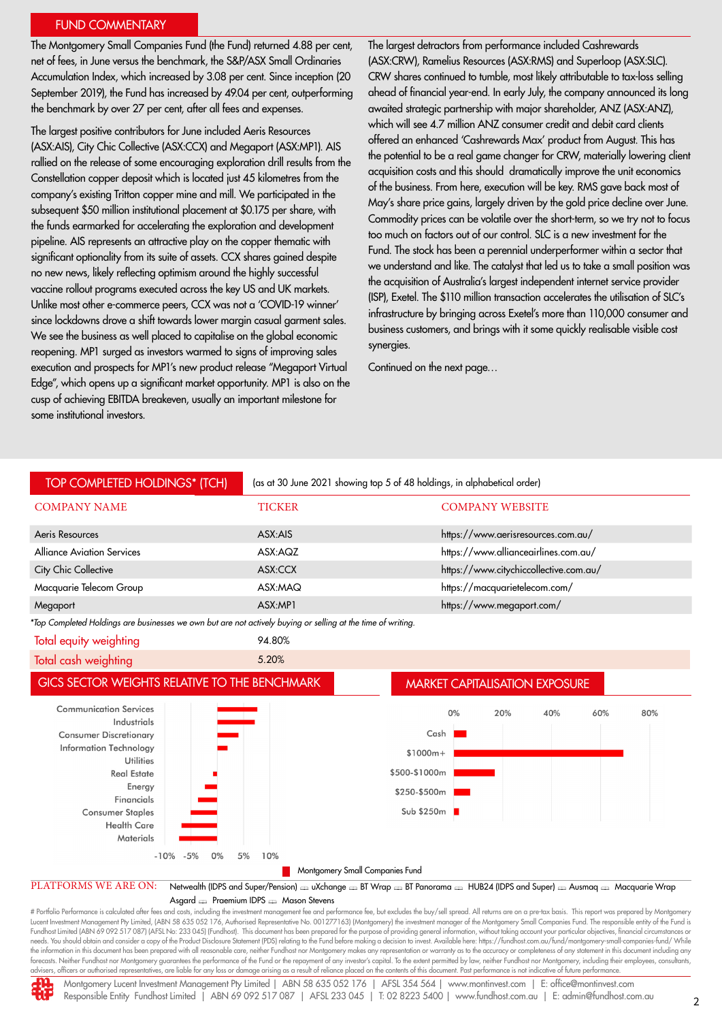## FUND COMMENTARY

The Montgomery Small Companies Fund (the Fund) returned 4.88 per cent, net of fees, in June versus the benchmark, the S&P/ASX Small Ordinaries Accumulation Index, which increased by 3.08 per cent. Since inception (20 September 2019), the Fund has increased by 49.04 per cent, outperforming the benchmark by over 27 per cent, after all fees and expenses.

The largest positive contributors for June included Aeris Resources (ASX:AIS), City Chic Collective (ASX:CCX) and Megaport (ASX:MP1). AIS rallied on the release of some encouraging exploration drill results from the Constellation copper deposit which is located just 45 kilometres from the company's existing Tritton copper mine and mill. We participated in the subsequent \$50 million institutional placement at \$0.175 per share, with the funds earmarked for accelerating the exploration and development pipeline. AIS represents an attractive play on the copper thematic with significant optionality from its suite of assets. CCX shares gained despite no new news, likely reflecting optimism around the highly successful vaccine rollout programs executed across the key US and UK markets. Unlike most other e-commerce peers, CCX was not a 'COVID-19 winner' since lockdowns drove a shift towards lower margin casual garment sales. We see the business as well placed to capitalise on the global economic reopening. MP1 surged as investors warmed to signs of improving sales execution and prospects for MP1's new product release "Megaport Virtual Edge", which opens up a significant market opportunity. MP1 is also on the cusp of achieving EBITDA breakeven, usually an important milestone for some institutional investors.

The largest detractors from performance included Cashrewards (ASX:CRW), Ramelius Resources (ASX:RMS) and Superloop (ASX:SLC). CRW shares continued to tumble, most likely attributable to tax-loss selling ahead of financial year-end. In early July, the company announced its long awaited strategic partnership with major shareholder, ANZ (ASX:ANZ), which will see 4.7 million ANZ consumer credit and debit card clients offered an enhanced 'Cashrewards Max' product from August. This has the potential to be a real game changer for CRW, materially lowering client acquisition costs and this should dramatically improve the unit economics of the business. From here, execution will be key. RMS gave back most of May's share price gains, largely driven by the gold price decline over June. Commodity prices can be volatile over the short-term, so we try not to focus too much on factors out of our control. SLC is a new investment for the Fund. The stock has been a perennial underperformer within a sector that we understand and like. The catalyst that led us to take a small position was the acquisition of Australia's largest independent internet service provider (ISP), Exetel. The \$110 million transaction accelerates the utilisation of SLC's infrastructure by bringing across Exetel's more than 110,000 consumer and business customers, and brings with it some quickly realisable visible cost synergies.

Continued on the next page…



needs. You should obtain and consider a copy of the Product Disclosure Statement (PDS) relating to the Fund before making a decision to invest. Available here: https://fundhost.com.au/fund/montgomery-small-companies-fund/ the information in this document has been prepared with all reasonable care, neither Fundhost nor Montgomery makes any representation or warranty as to the accuracy or completeness of any statement in this document includi advisers, officers or authorised representatives, are liable for any loss or damage arising as a result of reliance placed on the contents of this document. Past performance is not indicative of future performance.